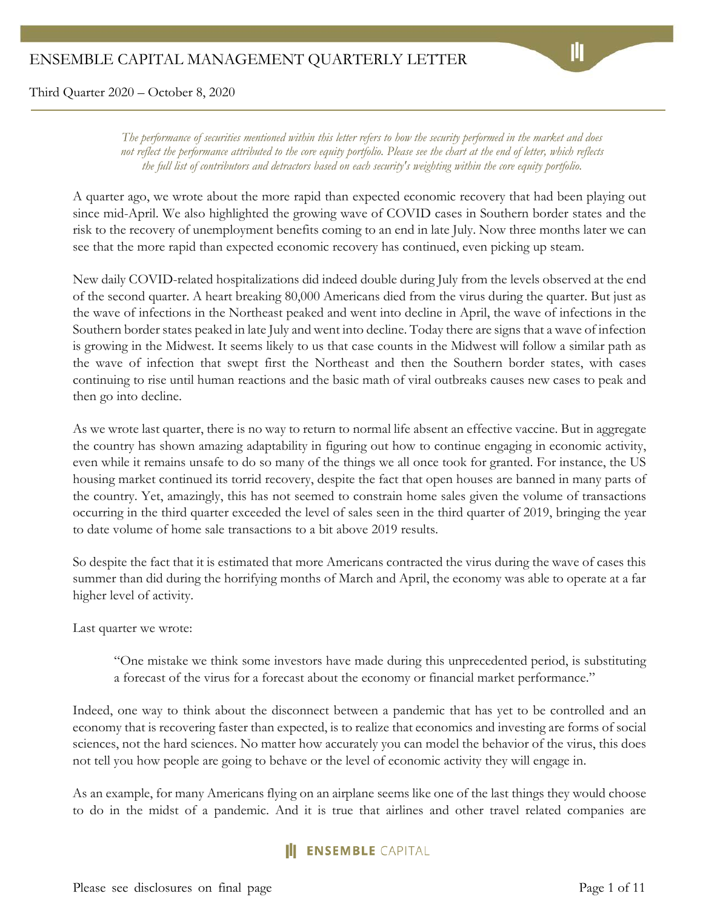*The performance of securities mentioned within this letter refers to how the security performed in the market and does not reflect the performance attributed to the core equity portfolio. Please see the chart at the end of letter, which reflects the full list of contributors and detractors based on each security's weighting within the core equity portfolio.*

A quarter ago, we wrote about the more rapid than expected economic recovery that had been playing out since mid-April. We also highlighted the growing wave of COVID cases in Southern border states and the risk to the recovery of unemployment benefits coming to an end in late July. Now three months later we can see that the more rapid than expected economic recovery has continued, even picking up steam.

New daily COVID-related hospitalizations did indeed double during July from the levels observed at the end of the second quarter. A heart breaking 80,000 Americans died from the virus during the quarter. But just as the wave of infections in the Northeast peaked and went into decline in April, the wave of infections in the Southern border states peaked in late July and went into decline. Today there are signs that a wave of infection is growing in the Midwest. It seems likely to us that case counts in the Midwest will follow a similar path as the wave of infection that swept first the Northeast and then the Southern border states, with cases continuing to rise until human reactions and the basic math of viral outbreaks causes new cases to peak and then go into decline.

As we wrote last quarter, there is no way to return to normal life absent an effective vaccine. But in aggregate the country has shown amazing adaptability in figuring out how to continue engaging in economic activity, even while it remains unsafe to do so many of the things we all once took for granted. For instance, the US housing market continued its torrid recovery, despite the fact that open houses are banned in many parts of the country. Yet, amazingly, this has not seemed to constrain home sales given the volume of transactions occurring in the third quarter exceeded the level of sales seen in the third quarter of 2019, bringing the year to date volume of home sale transactions to a bit above 2019 results.

So despite the fact that it is estimated that more Americans contracted the virus during the wave of cases this summer than did during the horrifying months of March and April, the economy was able to operate at a far higher level of activity.

Last quarter we wrote:

"One mistake we think some investors have made during this unprecedented period, is substituting a forecast of the virus for a forecast about the economy or financial market performance."

Indeed, one way to think about the disconnect between a pandemic that has yet to be controlled and an economy that is recovering faster than expected, is to realize that economics and investing are forms of social sciences, not the hard sciences. No matter how accurately you can model the behavior of the virus, this does not tell you how people are going to behave or the level of economic activity they will engage in.

As an example, for many Americans flying on an airplane seems like one of the last things they would choose to do in the midst of a pandemic. And it is true that airlines and other travel related companies are

#### **III ENSEMBLE** CAPITAL

Please see disclosures on final page Page 1 of 11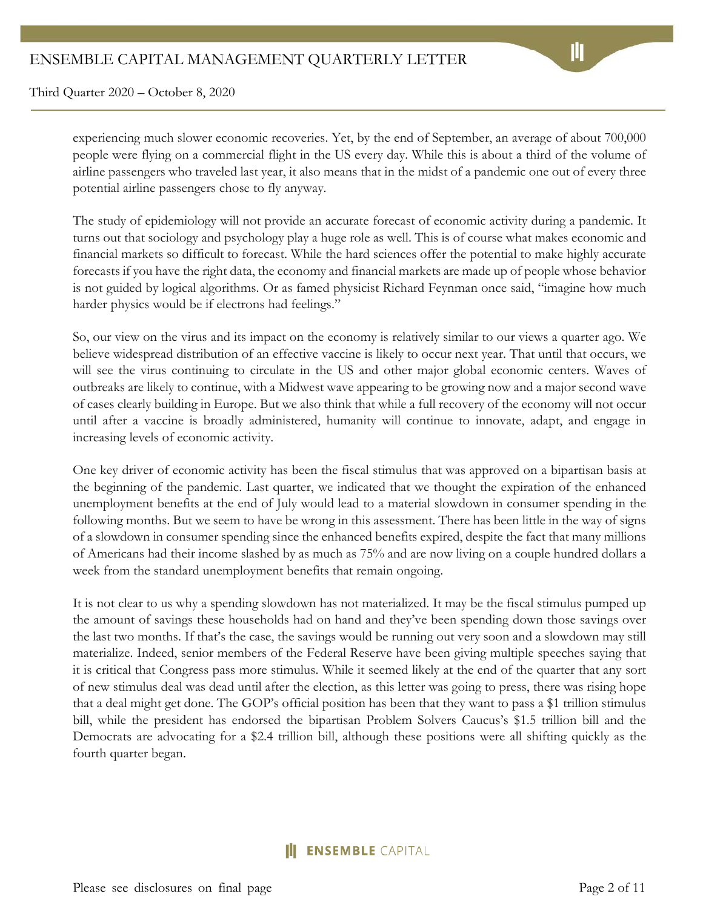experiencing much slower economic recoveries. Yet, by the end of September, an average of about 700,000 people were flying on a commercial flight in the US every day. While this is about a third of the volume of airline passengers who traveled last year, it also means that in the midst of a pandemic one out of every three potential airline passengers chose to fly anyway.

The study of epidemiology will not provide an accurate forecast of economic activity during a pandemic. It turns out that sociology and psychology play a huge role as well. This is of course what makes economic and financial markets so difficult to forecast. While the hard sciences offer the potential to make highly accurate forecasts if you have the right data, the economy and financial markets are made up of people whose behavior is not guided by logical algorithms. Or as famed physicist Richard Feynman once said, "imagine how much harder physics would be if electrons had feelings."

So, our view on the virus and its impact on the economy is relatively similar to our views a quarter ago. We believe widespread distribution of an effective vaccine is likely to occur next year. That until that occurs, we will see the virus continuing to circulate in the US and other major global economic centers. Waves of outbreaks are likely to continue, with a Midwest wave appearing to be growing now and a major second wave of cases clearly building in Europe. But we also think that while a full recovery of the economy will not occur until after a vaccine is broadly administered, humanity will continue to innovate, adapt, and engage in increasing levels of economic activity.

One key driver of economic activity has been the fiscal stimulus that was approved on a bipartisan basis at the beginning of the pandemic. Last quarter, we indicated that we thought the expiration of the enhanced unemployment benefits at the end of July would lead to a material slowdown in consumer spending in the following months. But we seem to have be wrong in this assessment. There has been little in the way of signs of a slowdown in consumer spending since the enhanced benefits expired, despite the fact that many millions of Americans had their income slashed by as much as 75% and are now living on a couple hundred dollars a week from the standard unemployment benefits that remain ongoing.

It is not clear to us why a spending slowdown has not materialized. It may be the fiscal stimulus pumped up the amount of savings these households had on hand and they've been spending down those savings over the last two months. If that's the case, the savings would be running out very soon and a slowdown may still materialize. Indeed, senior members of the Federal Reserve have been giving multiple speeches saying that it is critical that Congress pass more stimulus. While it seemed likely at the end of the quarter that any sort of new stimulus deal was dead until after the election, as this letter was going to press, there was rising hope that a deal might get done. The GOP's official position has been that they want to pass a \$1 trillion stimulus bill, while the president has endorsed the bipartisan Problem Solvers Caucus's \$1.5 trillion bill and the Democrats are advocating for a \$2.4 trillion bill, although these positions were all shifting quickly as the fourth quarter began.

# **ENSEMBLE** CAPITAL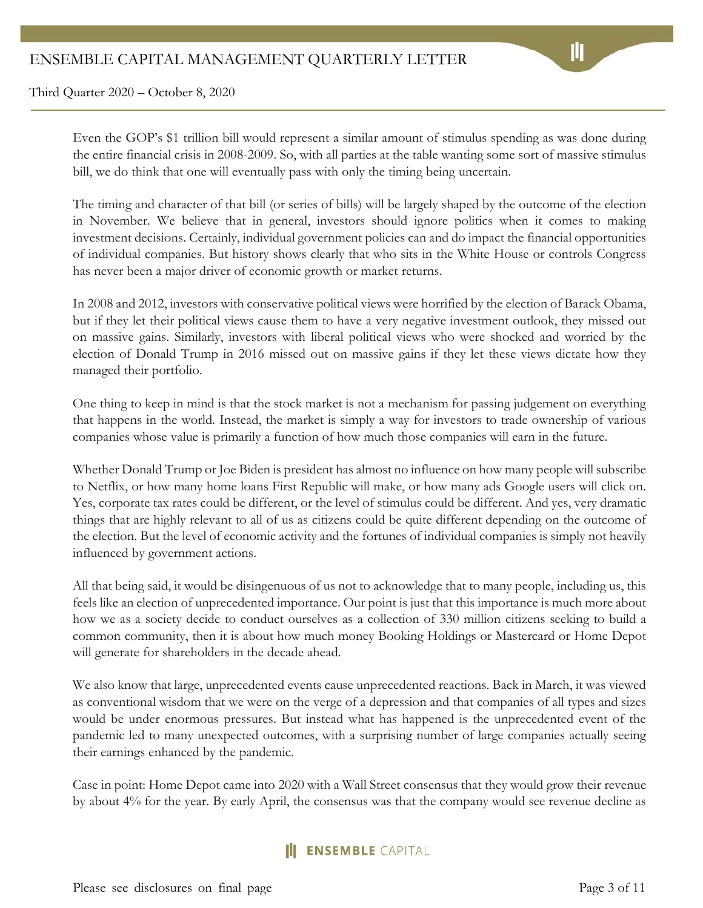Even the GOP's \$1 trillion bill would represent a similar amount of stimulus spending as was done during the entire financial crisis in 2008-2009. So, with all parties at the table wanting some sort of massive stimulus bill, we do think that one will eventually pass with only the timing being uncertain.

The timing and character of that bill (or series of bills) will be largely shaped by the outcome of the election in November. We believe that in general, investors should ignore politics when it comes to making investment decisions. Certainly, individual government policies can and do impact the financial opportunities of individual companies. But history shows clearly that who sits in the White House or controls Congress has never been a major driver of economic growth or market returns.

In 2008 and 2012, investors with conservative political views were horrified by the election of Barack Obama, but if they let their political views cause them to have a very negative investment outlook, they missed out on massive gains. Similarly, investors with liberal political views who were shocked and worried by the election of Donald Trump in 2016 missed out on massive gains if they let these views dictate how they managed their portfolio.

One thing to keep in mind is that the stock market is not a mechanism for passing judgement on everything that happens in the world. Instead, the market is simply a way for investors to trade ownership of various companies whose value is primarily a function of how much those companies will earn in the future.

Whether Donald Trump or Joe Biden is president has almost no influence on how many people will subscribe to Netflix, or how many home loans First Republic will make, or how many ads Google users will click on. Yes, corporate tax rates could be different, or the level of stimulus could be different. And yes, very dramatic things that are highly relevant to all of us as citizens could be quite different depending on the outcome of the election. But the level of economic activity and the fortunes of individual companies is simply not heavily influenced by government actions.

All that being said, it would be disingenuous of us not to acknowledge that to many people, including us, this feels like an election of unprecedented importance. Our point is just that this importance is much more about how we as a society decide to conduct ourselves as a collection of 330 million citizens seeking to build a common community, then it is about how much money Booking Holdings or Mastercard or Home Depot will generate for shareholders in the decade ahead.

We also know that large, unprecedented events cause unprecedented reactions. Back in March, it was viewed as conventional wisdom that we were on the verge of a depression and that companies of all types and sizes would be under enormous pressures. But instead what has happened is the unprecedented event of the pandemic led to many unexpected outcomes, with a surprising number of large companies actually seeing their earnings enhanced by the pandemic.

Case in point: Home Depot came into 2020 with a Wall Street consensus that they would grow their revenue by about 4% for the year. By early April, the consensus was that the company would see revenue decline as

# **II ENSEMBLE** CAPITAL

Please see disclosures on final page Page 3 of 11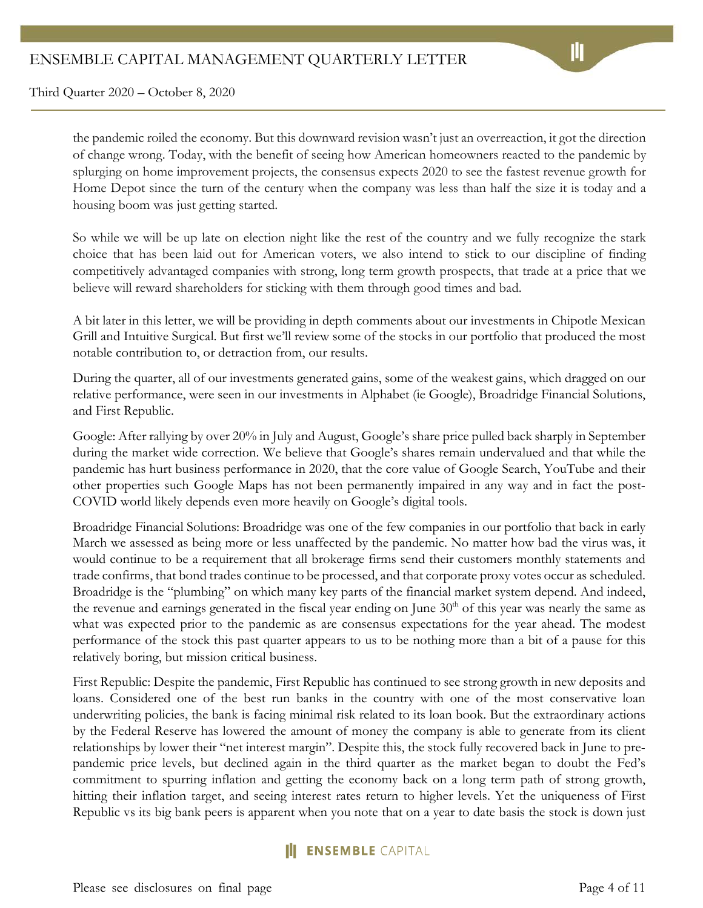the pandemic roiled the economy. But this downward revision wasn't just an overreaction, it got the direction of change wrong. Today, with the benefit of seeing how American homeowners reacted to the pandemic by splurging on home improvement projects, the consensus expects 2020 to see the fastest revenue growth for Home Depot since the turn of the century when the company was less than half the size it is today and a housing boom was just getting started.

So while we will be up late on election night like the rest of the country and we fully recognize the stark choice that has been laid out for American voters, we also intend to stick to our discipline of finding competitively advantaged companies with strong, long term growth prospects, that trade at a price that we believe will reward shareholders for sticking with them through good times and bad.

A bit later in this letter, we will be providing in depth comments about our investments in Chipotle Mexican Grill and Intuitive Surgical. But first we'll review some of the stocks in our portfolio that produced the most notable contribution to, or detraction from, our results.

During the quarter, all of our investments generated gains, some of the weakest gains, which dragged on our relative performance, were seen in our investments in Alphabet (ie Google), Broadridge Financial Solutions, and First Republic.

Google: After rallying by over 20% in July and August, Google's share price pulled back sharply in September during the market wide correction. We believe that Google's shares remain undervalued and that while the pandemic has hurt business performance in 2020, that the core value of Google Search, YouTube and their other properties such Google Maps has not been permanently impaired in any way and in fact the post-COVID world likely depends even more heavily on Google's digital tools.

Broadridge Financial Solutions: Broadridge was one of the few companies in our portfolio that back in early March we assessed as being more or less unaffected by the pandemic. No matter how bad the virus was, it would continue to be a requirement that all brokerage firms send their customers monthly statements and trade confirms, that bond trades continue to be processed, and that corporate proxy votes occur as scheduled. Broadridge is the "plumbing" on which many key parts of the financial market system depend. And indeed, the revenue and earnings generated in the fiscal year ending on June  $30<sup>th</sup>$  of this year was nearly the same as what was expected prior to the pandemic as are consensus expectations for the year ahead. The modest performance of the stock this past quarter appears to us to be nothing more than a bit of a pause for this relatively boring, but mission critical business.

First Republic: Despite the pandemic, First Republic has continued to see strong growth in new deposits and loans. Considered one of the best run banks in the country with one of the most conservative loan underwriting policies, the bank is facing minimal risk related to its loan book. But the extraordinary actions by the Federal Reserve has lowered the amount of money the company is able to generate from its client relationships by lower their "net interest margin". Despite this, the stock fully recovered back in June to prepandemic price levels, but declined again in the third quarter as the market began to doubt the Fed's commitment to spurring inflation and getting the economy back on a long term path of strong growth, hitting their inflation target, and seeing interest rates return to higher levels. Yet the uniqueness of First Republic vs its big bank peers is apparent when you note that on a year to date basis the stock is down just

#### **ENSEMBLE** CAPITAL

Please see disclosures on final page Page 4 of 11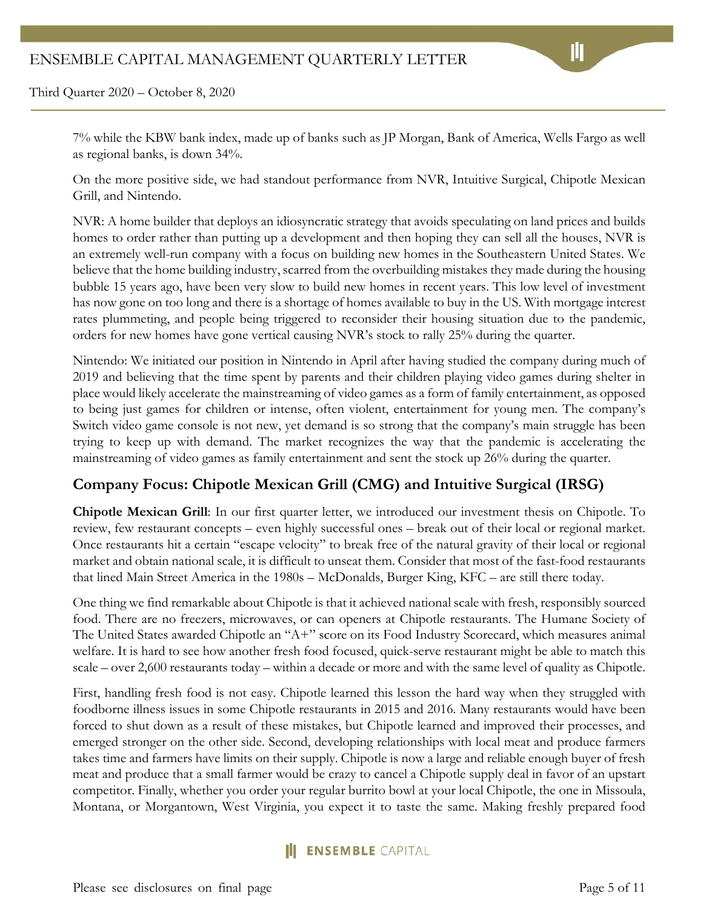7% while the KBW bank index, made up of banks such as JP Morgan, Bank of America, Wells Fargo as well as regional banks, is down 34%.

On the more positive side, we had standout performance from NVR, Intuitive Surgical, Chipotle Mexican Grill, and Nintendo.

NVR: A home builder that deploys an idiosyncratic strategy that avoids speculating on land prices and builds homes to order rather than putting up a development and then hoping they can sell all the houses, NVR is an extremely well-run company with a focus on building new homes in the Southeastern United States. We believe that the home building industry, scarred from the overbuilding mistakes they made during the housing bubble 15 years ago, have been very slow to build new homes in recent years. This low level of investment has now gone on too long and there is a shortage of homes available to buy in the US. With mortgage interest rates plummeting, and people being triggered to reconsider their housing situation due to the pandemic, orders for new homes have gone vertical causing NVR's stock to rally 25% during the quarter.

Nintendo: We initiated our position in Nintendo in April after having studied the company during much of 2019 and believing that the time spent by parents and their children playing video games during shelter in place would likely accelerate the mainstreaming of video games as a form of family entertainment, as opposed to being just games for children or intense, often violent, entertainment for young men. The company's Switch video game console is not new, yet demand is so strong that the company's main struggle has been trying to keep up with demand. The market recognizes the way that the pandemic is accelerating the mainstreaming of video games as family entertainment and sent the stock up 26% during the quarter.

# **Company Focus: Chipotle Mexican Grill (CMG) and Intuitive Surgical (IRSG)**

**Chipotle Mexican Grill**: In our first quarter letter, we introduced our investment thesis on Chipotle. To review, few restaurant concepts – even highly successful ones – break out of their local or regional market. Once restaurants hit a certain "escape velocity" to break free of the natural gravity of their local or regional market and obtain national scale, it is difficult to unseat them. Consider that most of the fast-food restaurants that lined Main Street America in the 1980s – McDonalds, Burger King, KFC – are still there today.

One thing we find remarkable about Chipotle is that it achieved national scale with fresh, responsibly sourced food. There are no freezers, microwaves, or can openers at Chipotle restaurants. The Humane Society of The United States awarded Chipotle an "A+" score on its Food Industry Scorecard, which measures animal welfare. It is hard to see how another fresh food focused, quick-serve restaurant might be able to match this scale – over 2,600 restaurants today – within a decade or more and with the same level of quality as Chipotle.

First, handling fresh food is not easy. Chipotle learned this lesson the hard way when they struggled with foodborne illness issues in some Chipotle restaurants in 2015 and 2016. Many restaurants would have been forced to shut down as a result of these mistakes, but Chipotle learned and improved their processes, and emerged stronger on the other side. Second, developing relationships with local meat and produce farmers takes time and farmers have limits on their supply. Chipotle is now a large and reliable enough buyer of fresh meat and produce that a small farmer would be crazy to cancel a Chipotle supply deal in favor of an upstart competitor. Finally, whether you order your regular burrito bowl at your local Chipotle, the one in Missoula, Montana, or Morgantown, West Virginia, you expect it to taste the same. Making freshly prepared food

# **III ENSEMBLE** CAPITAL

Please see disclosures on final page Page 5 of 11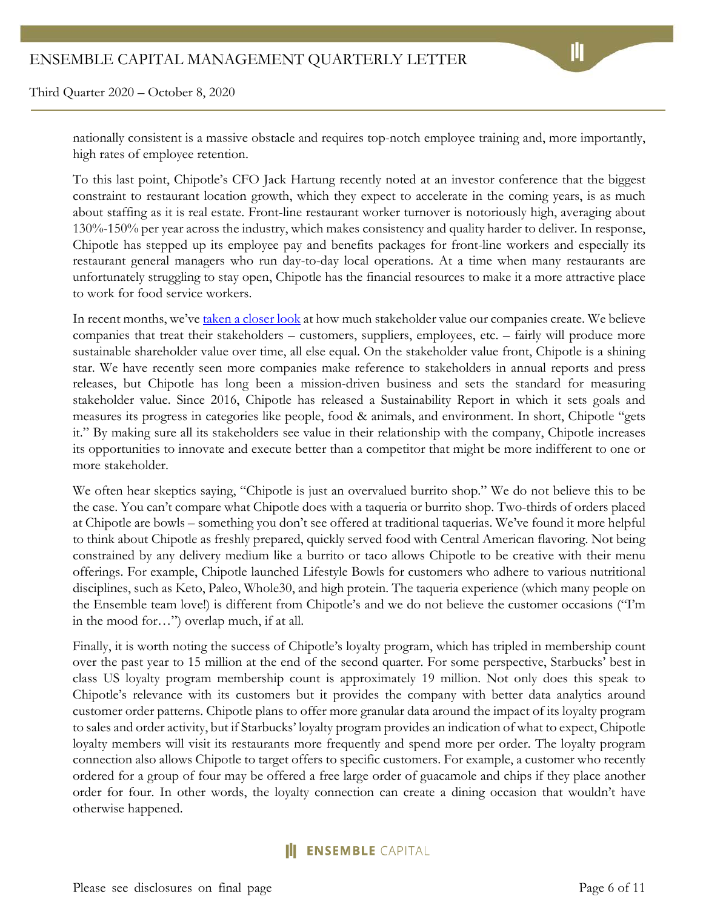nationally consistent is a massive obstacle and requires top-notch employee training and, more importantly, high rates of employee retention.

To this last point, Chipotle's CFO Jack Hartung recently noted at an investor conference that the biggest constraint to restaurant location growth, which they expect to accelerate in the coming years, is as much about staffing as it is real estate. Front-line restaurant worker turnover is notoriously high, averaging about 130%-150% per year across the industry, which makes consistency and quality harder to deliver. In response, Chipotle has stepped up its employee pay and benefits packages for front-line workers and especially its restaurant general managers who run day-to-day local operations. At a time when many restaurants are unfortunately struggling to stay open, Chipotle has the financial resources to make it a more attractive place to work for food service workers.

In recent months, we'v[e taken a closer look](https://intrinsicinvesting.com/2020/09/03/understanding-stakeholder-value-where-do-profits-come-from/) at how much stakeholder value our companies create. We believe companies that treat their stakeholders – customers, suppliers, employees, etc. – fairly will produce more sustainable shareholder value over time, all else equal. On the stakeholder value front, Chipotle is a shining star. We have recently seen more companies make reference to stakeholders in annual reports and press releases, but Chipotle has long been a mission-driven business and sets the standard for measuring stakeholder value. Since 2016, Chipotle has released a Sustainability Report in which it sets goals and measures its progress in categories like people, food & animals, and environment. In short, Chipotle "gets it." By making sure all its stakeholders see value in their relationship with the company, Chipotle increases its opportunities to innovate and execute better than a competitor that might be more indifferent to one or more stakeholder.

We often hear skeptics saying, "Chipotle is just an overvalued burrito shop." We do not believe this to be the case. You can't compare what Chipotle does with a taqueria or burrito shop. Two-thirds of orders placed at Chipotle are bowls – something you don't see offered at traditional taquerias. We've found it more helpful to think about Chipotle as freshly prepared, quickly served food with Central American flavoring. Not being constrained by any delivery medium like a burrito or taco allows Chipotle to be creative with their menu offerings. For example, Chipotle launched Lifestyle Bowls for customers who adhere to various nutritional disciplines, such as Keto, Paleo, Whole30, and high protein. The taqueria experience (which many people on the Ensemble team love!) is different from Chipotle's and we do not believe the customer occasions ("I'm in the mood for…") overlap much, if at all.

Finally, it is worth noting the success of Chipotle's loyalty program, which has tripled in membership count over the past year to 15 million at the end of the second quarter. For some perspective, Starbucks' best in class US loyalty program membership count is approximately 19 million. Not only does this speak to Chipotle's relevance with its customers but it provides the company with better data analytics around customer order patterns. Chipotle plans to offer more granular data around the impact of its loyalty program to sales and order activity, but if Starbucks' loyalty program provides an indication of what to expect, Chipotle loyalty members will visit its restaurants more frequently and spend more per order. The loyalty program connection also allows Chipotle to target offers to specific customers. For example, a customer who recently ordered for a group of four may be offered a free large order of guacamole and chips if they place another order for four. In other words, the loyalty connection can create a dining occasion that wouldn't have otherwise happened.

# **ENSEMBLE** CAPITAL

Please see disclosures on final page Page 6 of 11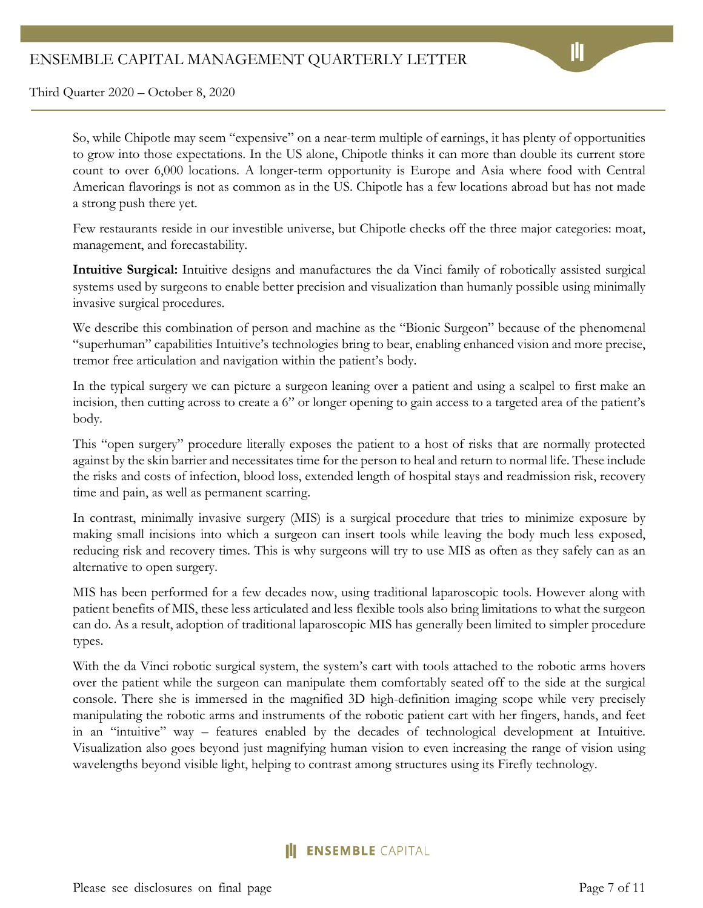So, while Chipotle may seem "expensive" on a near-term multiple of earnings, it has plenty of opportunities to grow into those expectations. In the US alone, Chipotle thinks it can more than double its current store count to over 6,000 locations. A longer-term opportunity is Europe and Asia where food with Central American flavorings is not as common as in the US. Chipotle has a few locations abroad but has not made a strong push there yet.

Few restaurants reside in our investible universe, but Chipotle checks off the three major categories: moat, management, and forecastability.

**Intuitive Surgical:** Intuitive designs and manufactures the da Vinci family of robotically assisted surgical systems used by surgeons to enable better precision and visualization than humanly possible using minimally invasive surgical procedures.

We describe this combination of person and machine as the "Bionic Surgeon" because of the phenomenal "superhuman" capabilities Intuitive's technologies bring to bear, enabling enhanced vision and more precise, tremor free articulation and navigation within the patient's body.

In the typical surgery we can picture a surgeon leaning over a patient and using a scalpel to first make an incision, then cutting across to create a 6" or longer opening to gain access to a targeted area of the patient's body.

This "open surgery" procedure literally exposes the patient to a host of risks that are normally protected against by the skin barrier and necessitates time for the person to heal and return to normal life. These include the risks and costs of infection, blood loss, extended length of hospital stays and readmission risk, recovery time and pain, as well as permanent scarring.

In contrast, minimally invasive surgery (MIS) is a surgical procedure that tries to minimize exposure by making small incisions into which a surgeon can insert tools while leaving the body much less exposed, reducing risk and recovery times. This is why surgeons will try to use MIS as often as they safely can as an alternative to open surgery.

MIS has been performed for a few decades now, using traditional laparoscopic tools. However along with patient benefits of MIS, these less articulated and less flexible tools also bring limitations to what the surgeon can do. As a result, adoption of traditional laparoscopic MIS has generally been limited to simpler procedure types.

With the da Vinci robotic surgical system, the system's cart with tools attached to the robotic arms hovers over the patient while the surgeon can manipulate them comfortably seated off to the side at the surgical console. There she is immersed in the magnified 3D high-definition imaging scope while very precisely manipulating the robotic arms and instruments of the robotic patient cart with her fingers, hands, and feet in an "intuitive" way – features enabled by the decades of technological development at Intuitive. Visualization also goes beyond just magnifying human vision to even increasing the range of vision using wavelengths beyond visible light, helping to contrast among structures using its Firefly technology.

# **II ENSEMBLE** CAPITAL

Please see disclosures on final page Page 7 of 11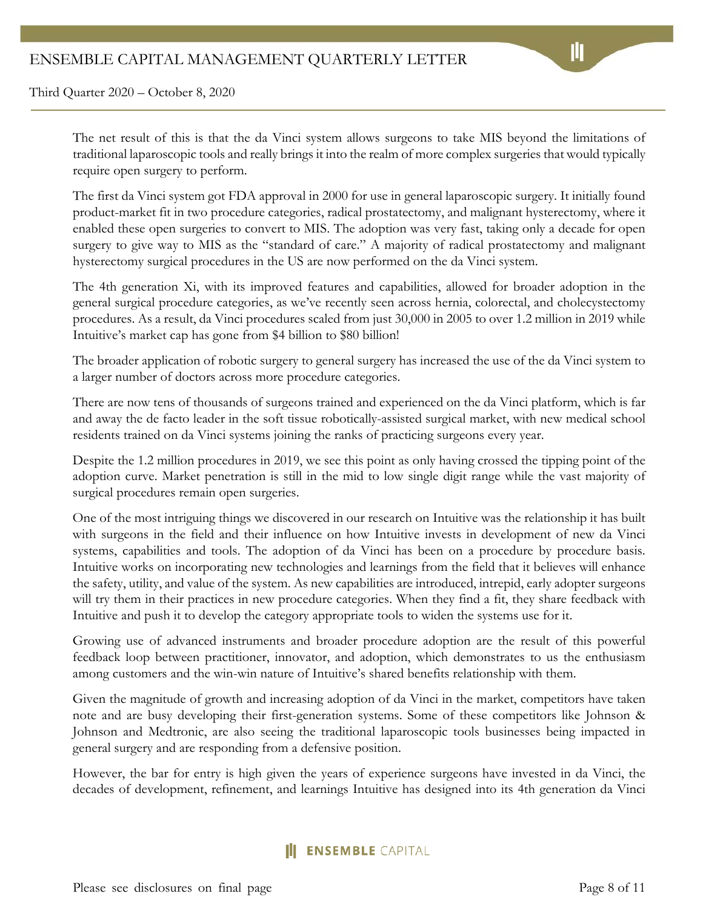The net result of this is that the da Vinci system allows surgeons to take MIS beyond the limitations of traditional laparoscopic tools and really brings it into the realm of more complex surgeries that would typically require open surgery to perform.

The first da Vinci system got FDA approval in 2000 for use in general laparoscopic surgery. It initially found product-market fit in two procedure categories, radical prostatectomy, and malignant hysterectomy, where it enabled these open surgeries to convert to MIS. The adoption was very fast, taking only a decade for open surgery to give way to MIS as the "standard of care." A majority of radical prostatectomy and malignant hysterectomy surgical procedures in the US are now performed on the da Vinci system.

The 4th generation Xi, with its improved features and capabilities, allowed for broader adoption in the general surgical procedure categories, as we've recently seen across hernia, colorectal, and cholecystectomy procedures. As a result, da Vinci procedures scaled from just 30,000 in 2005 to over 1.2 million in 2019 while Intuitive's market cap has gone from \$4 billion to \$80 billion!

The broader application of robotic surgery to general surgery has increased the use of the da Vinci system to a larger number of doctors across more procedure categories.

There are now tens of thousands of surgeons trained and experienced on the da Vinci platform, which is far and away the de facto leader in the soft tissue robotically-assisted surgical market, with new medical school residents trained on da Vinci systems joining the ranks of practicing surgeons every year.

Despite the 1.2 million procedures in 2019, we see this point as only having crossed the tipping point of the adoption curve. Market penetration is still in the mid to low single digit range while the vast majority of surgical procedures remain open surgeries.

One of the most intriguing things we discovered in our research on Intuitive was the relationship it has built with surgeons in the field and their influence on how Intuitive invests in development of new da Vinci systems, capabilities and tools. The adoption of da Vinci has been on a procedure by procedure basis. Intuitive works on incorporating new technologies and learnings from the field that it believes will enhance the safety, utility, and value of the system. As new capabilities are introduced, intrepid, early adopter surgeons will try them in their practices in new procedure categories. When they find a fit, they share feedback with Intuitive and push it to develop the category appropriate tools to widen the systems use for it.

Growing use of advanced instruments and broader procedure adoption are the result of this powerful feedback loop between practitioner, innovator, and adoption, which demonstrates to us the enthusiasm among customers and the win-win nature of Intuitive's shared benefits relationship with them.

Given the magnitude of growth and increasing adoption of da Vinci in the market, competitors have taken note and are busy developing their first-generation systems. Some of these competitors like Johnson & Johnson and Medtronic, are also seeing the traditional laparoscopic tools businesses being impacted in general surgery and are responding from a defensive position.

However, the bar for entry is high given the years of experience surgeons have invested in da Vinci, the decades of development, refinement, and learnings Intuitive has designed into its 4th generation da Vinci

#### **ENSEMBLE** CAPITAL

Please see disclosures on final page Page 8 of 11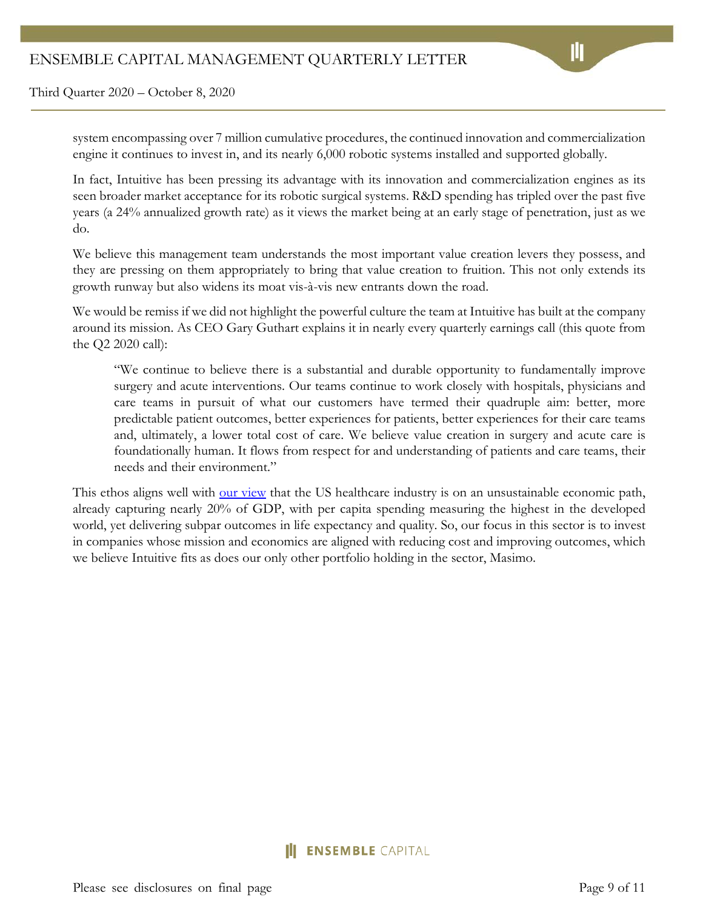system encompassing over 7 million cumulative procedures, the continued innovation and commercialization engine it continues to invest in, and its nearly 6,000 robotic systems installed and supported globally.

In fact, Intuitive has been pressing its advantage with its innovation and commercialization engines as its seen broader market acceptance for its robotic surgical systems. R&D spending has tripled over the past five years (a 24% annualized growth rate) as it views the market being at an early stage of penetration, just as we do.

We believe this management team understands the most important value creation levers they possess, and they are pressing on them appropriately to bring that value creation to fruition. This not only extends its growth runway but also widens its moat vis-à-vis new entrants down the road.

We would be remiss if we did not highlight the powerful culture the team at Intuitive has built at the company around its mission. As CEO Gary Guthart explains it in nearly every quarterly earnings call (this quote from the Q2 2020 call):

"We continue to believe there is a substantial and durable opportunity to fundamentally improve surgery and acute interventions. Our teams continue to work closely with hospitals, physicians and care teams in pursuit of what our customers have termed their quadruple aim: better, more predictable patient outcomes, better experiences for patients, better experiences for their care teams and, ultimately, a lower total cost of care. We believe value creation in surgery and acute care is foundationally human. It flows from respect for and understanding of patients and care teams, their needs and their environment."

This ethos aligns well with <u>our view</u> that the US healthcare industry is on an unsustainable economic path, already capturing nearly 20% of GDP, with per capita spending measuring the highest in the developed world, yet delivering subpar outcomes in life expectancy and quality. So, our focus in this sector is to invest in companies whose mission and economics are aligned with reducing cost and improving outcomes, which we believe Intuitive fits as does our only other portfolio holding in the sector, Masimo.

# **ENSEMBLE** CAPITAL

Please see disclosures on final page Page 9 of 11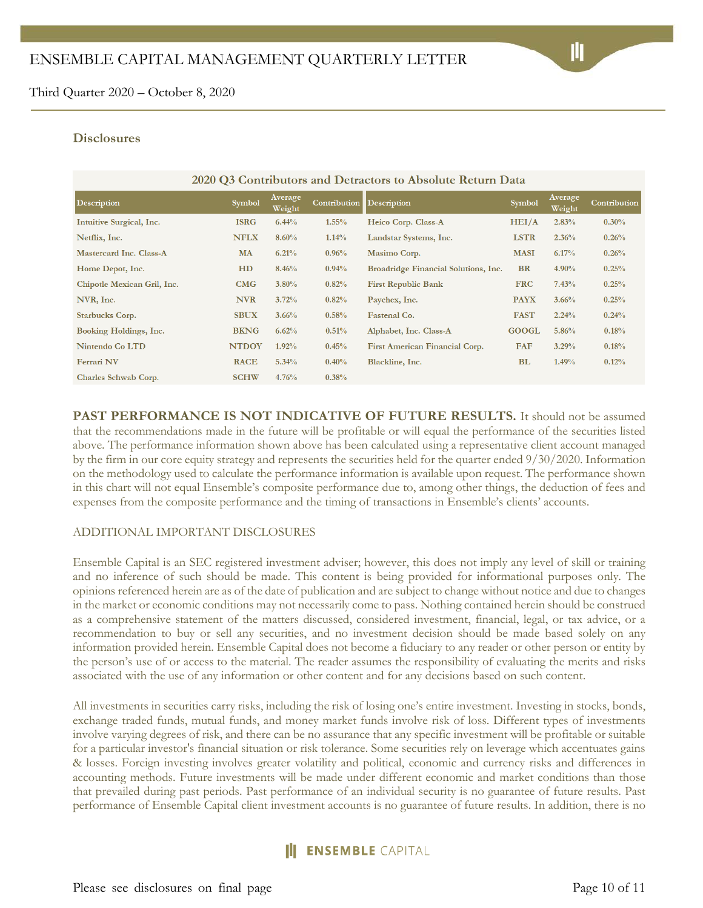#### **Disclosures**

#### 2020 Q3 Contributors and Detractors to Absolute Return Data

| <b>Description</b>          | <b>Symbol</b> | Average<br>Weight | <b>Contribution</b> | <b>Description</b>                    | <b>Symbol</b> | Average<br>Weight | Contribution |
|-----------------------------|---------------|-------------------|---------------------|---------------------------------------|---------------|-------------------|--------------|
| Intuitive Surgical, Inc.    | <b>ISRG</b>   | 6.44%             | $1.55\%$            | Heico Corp. Class-A                   | HEI/A         | 2.83%             | 0.30%        |
| Netflix, Inc.               | <b>NFLX</b>   | 8.60%             | 1.14%               | Landstar Systems, Inc.                | <b>LSTR</b>   | 2.36%             | 0.26%        |
| Mastercard Inc. Class-A     | MA            | 6.21%             | 0.96%               | Masimo Corp.                          | <b>MASI</b>   | 6.17%             | 0.26%        |
| Home Depot, Inc.            | HD            | 8.46%             | 0.94%               | Broadridge Financial Solutions, Inc.  | <b>BR</b>     | $4.90\%$          | 0.25%        |
| Chipotle Mexican Gril, Inc. | CMG           | $3.80\%$          | 0.82%               | <b>First Republic Bank</b>            | <b>FRC</b>    | 7.43%             | 0.25%        |
| NVR, Inc.                   | <b>NVR</b>    | 3.72%             | 0.82%               | Paychex, Inc.                         | <b>PAYX</b>   | 3.66%             | 0.25%        |
| Starbucks Corp.             | <b>SBUX</b>   | 3.66%             | 0.58%               | <b>Fastenal Co.</b>                   | <b>FAST</b>   | 2.24%             | 0.24%        |
| Booking Holdings, Inc.      | <b>BKNG</b>   | 6.62%             | 0.51%               | Alphabet, Inc. Class-A                | <b>GOOGL</b>  | 5.86%             | 0.18%        |
| Nintendo Co LTD             | <b>NTDOY</b>  | 1.92%             | 0.45%               | <b>First American Financial Corp.</b> | <b>FAF</b>    | 3.29%             | 0.18%        |
| <b>Ferrari NV</b>           | <b>RACE</b>   | 5.34%             | 0.40%               | Blackline, Inc.                       | <b>BL</b>     | 1.49%             | 0.12%        |
| Charles Schwab Corp.        | <b>SCHW</b>   | 4.76%             | 0.38%               |                                       |               |                   |              |

**PAST PERFORMANCE IS NOT INDICATIVE OF FUTURE RESULTS.** It should not be assumed that the recommendations made in the future will be profitable or will equal the performance of the securities listed above. The performance information shown above has been calculated using a representative client account managed by the firm in our core equity strategy and represents the securities held for the quarter ended 9/30/2020. Information on the methodology used to calculate the performance information is available upon request. The performance shown in this chart will not equal Ensemble's composite performance due to, among other things, the deduction of fees and expenses from the composite performance and the timing of transactions in Ensemble's clients' accounts.

#### ADDITIONAL IMPORTANT DISCLOSURES

Ensemble Capital is an SEC registered investment adviser; however, this does not imply any level of skill or training and no inference of such should be made. This content is being provided for informational purposes only. The opinions referenced herein are as of the date of publication and are subject to change without notice and due to changes in the market or economic conditions may not necessarily come to pass. Nothing contained herein should be construed as a comprehensive statement of the matters discussed, considered investment, financial, legal, or tax advice, or a recommendation to buy or sell any securities, and no investment decision should be made based solely on any information provided herein. Ensemble Capital does not become a fiduciary to any reader or other person or entity by the person's use of or access to the material. The reader assumes the responsibility of evaluating the merits and risks associated with the use of any information or other content and for any decisions based on such content.

All investments in securities carry risks, including the risk of losing one's entire investment. Investing in stocks, bonds, exchange traded funds, mutual funds, and money market funds involve risk of loss. Different types of investments involve varying degrees of risk, and there can be no assurance that any specific investment will be profitable or suitable for a particular investor's financial situation or risk tolerance. Some securities rely on leverage which accentuates gains & losses. Foreign investing involves greater volatility and political, economic and currency risks and differences in accounting methods. Future investments will be made under different economic and market conditions than those that prevailed during past periods. Past performance of an individual security is no guarantee of future results. Past performance of Ensemble Capital client investment accounts is no guarantee of future results. In addition, there is no

# **II ENSEMBLE** CAPITAL

Please see disclosures on final page Page 10 of 11